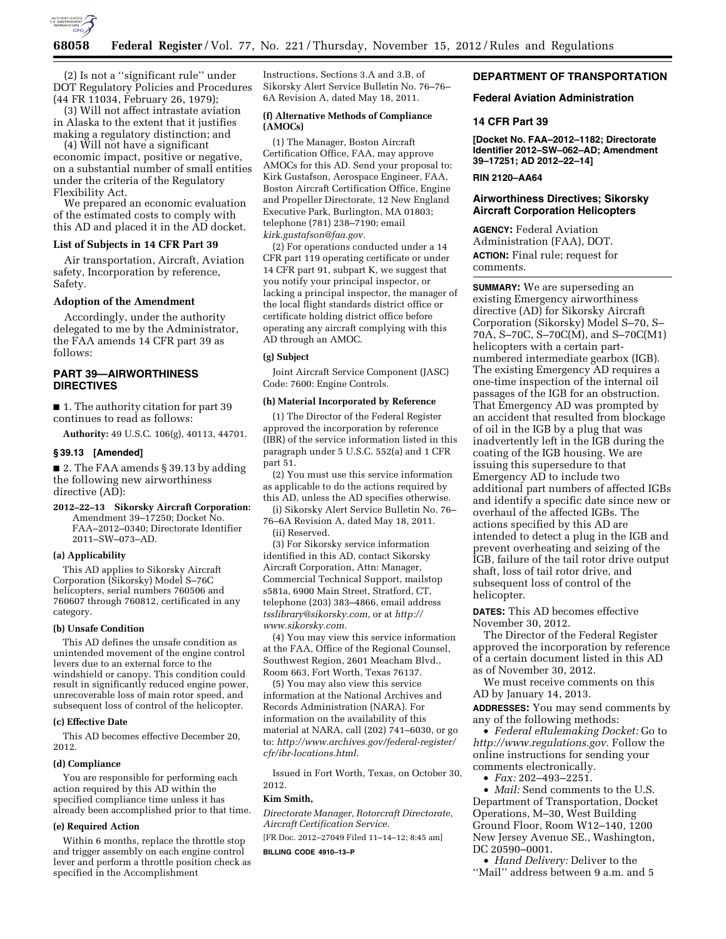

(2) Is not a ''significant rule'' under DOT Regulatory Policies and Procedures (44 FR 11034, February 26, 1979);

(3) Will not affect intrastate aviation in Alaska to the extent that it justifies making a regulatory distinction; and

(4) Will not have a significant economic impact, positive or negative, on a substantial number of small entities under the criteria of the Regulatory Flexibility Act.

We prepared an economic evaluation of the estimated costs to comply with this AD and placed it in the AD docket.

### **List of Subjects in 14 CFR Part 39**

Air transportation, Aircraft, Aviation safety, Incorporation by reference, Safety.

#### **Adoption of the Amendment**

Accordingly, under the authority delegated to me by the Administrator, the FAA amends 14 CFR part 39 as follows:

### **PART 39—AIRWORTHINESS DIRECTIVES**

■ 1. The authority citation for part 39 continues to read as follows:

**Authority:** 49 U.S.C. 106(g), 40113, 44701.

#### **§ 39.13 [Amended]**

■ 2. The FAA amends § 39.13 by adding the following new airworthiness directive (AD):

**2012–22–13 Sikorsky Aircraft Corporation:**  Amendment 39–17250; Docket No. FAA–2012–0340; Directorate Identifier 2011–SW–073–AD.

#### **(a) Applicability**

This AD applies to Sikorsky Aircraft Corporation (Sikorsky) Model S–76C helicopters, serial numbers 760506 and 760607 through 760812, certificated in any category.

#### **(b) Unsafe Condition**

This AD defines the unsafe condition as unintended movement of the engine control levers due to an external force to the windshield or canopy. This condition could result in significantly reduced engine power, unrecoverable loss of main rotor speed, and subsequent loss of control of the helicopter.

### **(c) Effective Date**

This AD becomes effective December 20, 2012.

#### **(d) Compliance**

You are responsible for performing each action required by this AD within the specified compliance time unless it has already been accomplished prior to that time.

## **(e) Required Action**

Within 6 months, replace the throttle stop and trigger assembly on each engine control lever and perform a throttle position check as specified in the Accomplishment

Instructions, Sections 3.A and 3.B, of Sikorsky Alert Service Bulletin No. 76–76– 6A Revision A, dated May 18, 2011.

### **(f) Alternative Methods of Compliance (AMOCs)**

(1) The Manager, Boston Aircraft Certification Office, FAA, may approve AMOCs for this AD. Send your proposal to: Kirk Gustafson, Aerospace Engineer, FAA, Boston Aircraft Certification Office, Engine and Propeller Directorate, 12 New England Executive Park, Burlington, MA 01803; telephone (781) 238–7190; email *[kirk.gustafson@faa.gov.](mailto:kirk.gustafson@faa.gov)* 

(2) For operations conducted under a 14 CFR part 119 operating certificate or under 14 CFR part 91, subpart K, we suggest that you notify your principal inspector, or lacking a principal inspector, the manager of the local flight standards district office or certificate holding district office before operating any aircraft complying with this AD through an AMOC.

## **(g) Subject**

Joint Aircraft Service Component (JASC) Code: 7600: Engine Controls.

## **(h) Material Incorporated by Reference**

(1) The Director of the Federal Register approved the incorporation by reference (IBR) of the service information listed in this paragraph under 5 U.S.C. 552(a) and 1 CFR part 51.

(2) You must use this service information as applicable to do the actions required by this AD, unless the AD specifies otherwise.

(i) Sikorsky Alert Service Bulletin No. 76– 76–6A Revision A, dated May 18, 2011. (ii) Reserved.

(3) For Sikorsky service information identified in this AD, contact Sikorsky Aircraft Corporation, Attn: Manager, Commercial Technical Support, mailstop s581a, 6900 Main Street, Stratford, CT, telephone (203) 383–4866, email address *[tsslibrary@sikorsky.com,](mailto:tsslibrary@sikorsky.com)* or at *[http://](http://www.sikorsky.com)  [www.sikorsky.com.](http://www.sikorsky.com)* 

(4) You may view this service information at the FAA, Office of the Regional Counsel, Southwest Region, 2601 Meacham Blvd., Room 663, Fort Worth, Texas 76137.

(5) You may also view this service information at the National Archives and Records Administration (NARA). For information on the availability of this material at NARA, call (202) 741–6030, or go to: *[http://www.archives.gov/federal-register/](http://www.archives.gov/federal-register/cfr/ibr-locations.html)  [cfr/ibr-locations.html.](http://www.archives.gov/federal-register/cfr/ibr-locations.html)* 

Issued in Fort Worth, Texas, on October 30, 2012.

#### **Kim Smith,**

*Directorate Manager, Rotorcraft Directorate, Aircraft Certification Service.*  [FR Doc. 2012–27049 Filed 11–14–12; 8:45 am]

**BILLING CODE 4910–13–P** 

# **DEPARTMENT OF TRANSPORTATION**

### **Federal Aviation Administration**

#### **14 CFR Part 39**

**[Docket No. FAA–2012–1182; Directorate Identifier 2012–SW–062–AD; Amendment 39–17251; AD 2012–22–14]** 

## **RIN 2120–AA64**

## **Airworthiness Directives; Sikorsky Aircraft Corporation Helicopters**

**AGENCY:** Federal Aviation Administration (FAA), DOT. **ACTION:** Final rule; request for comments.

**SUMMARY:** We are superseding an existing Emergency airworthiness directive (AD) for Sikorsky Aircraft Corporation (Sikorsky) Model S–70, S– 70A, S–70C, S–70C(M), and S–70C(M1) helicopters with a certain partnumbered intermediate gearbox (IGB). The existing Emergency AD requires a one-time inspection of the internal oil passages of the IGB for an obstruction. That Emergency AD was prompted by an accident that resulted from blockage of oil in the IGB by a plug that was inadvertently left in the IGB during the coating of the IGB housing. We are issuing this supersedure to that Emergency AD to include two additional part numbers of affected IGBs and identify a specific date since new or overhaul of the affected IGBs. The actions specified by this AD are intended to detect a plug in the IGB and prevent overheating and seizing of the IGB, failure of the tail rotor drive output shaft, loss of tail rotor drive, and subsequent loss of control of the helicopter.

**DATES:** This AD becomes effective November 30, 2012.

The Director of the Federal Register approved the incorporation by reference of a certain document listed in this AD as of November 30, 2012.

We must receive comments on this AD by January 14, 2013.

**ADDRESSES:** You may send comments by any of the following methods:

• *Federal eRulemaking Docket:* Go to *[http://www.regulations.gov.](http://www.regulations.gov)* Follow the online instructions for sending your comments electronically.

• *Fax:* 202–493–2251.

• *Mail:* Send comments to the U.S. Department of Transportation, Docket Operations, M–30, West Building Ground Floor, Room W12–140, 1200 New Jersey Avenue SE., Washington, DC 20590–0001.

• *Hand Delivery:* Deliver to the ''Mail'' address between 9 a.m. and 5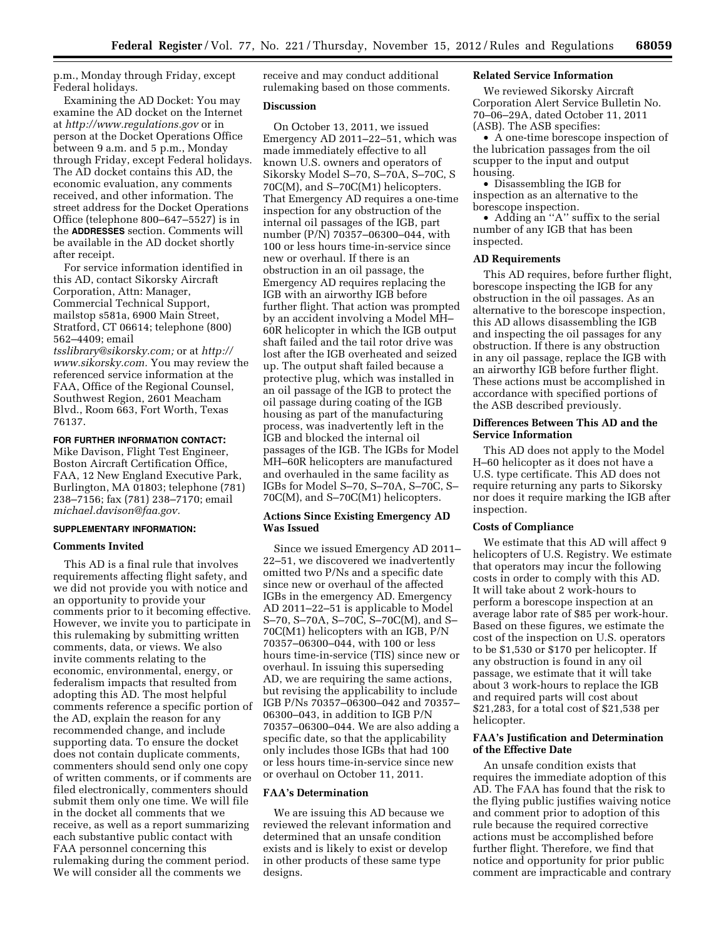p.m., Monday through Friday, except Federal holidays.

Examining the AD Docket: You may examine the AD docket on the Internet at *<http://www.regulations.gov>* or in person at the Docket Operations Office between 9 a.m. and 5 p.m., Monday through Friday, except Federal holidays. The AD docket contains this AD, the economic evaluation, any comments received, and other information. The street address for the Docket Operations Office (telephone 800–647–5527) is in the **ADDRESSES** section. Comments will be available in the AD docket shortly after receipt.

For service information identified in this AD, contact Sikorsky Aircraft Corporation, Attn: Manager, Commercial Technical Support, mailstop s581a, 6900 Main Street, Stratford, CT 06614; telephone (800) 562–4409; email

*[tsslibrary@sikorsky.com;](mailto:tsslibrary@sikorsky.com)* or at *[http://](http://www.sikorsky.com) [www.sikorsky.com.](http://www.sikorsky.com)* You may review the referenced service information at the FAA, Office of the Regional Counsel, Southwest Region, 2601 Meacham Blvd., Room 663, Fort Worth, Texas 76137.

### **FOR FURTHER INFORMATION CONTACT:**

Mike Davison, Flight Test Engineer, Boston Aircraft Certification Office, FAA, 12 New England Executive Park, Burlington, MA 01803; telephone (781) 238–7156; fax (781) 238–7170; email *[michael.davison@faa.gov.](mailto:michael.davison@faa.gov)* 

### **SUPPLEMENTARY INFORMATION:**

#### **Comments Invited**

This AD is a final rule that involves requirements affecting flight safety, and we did not provide you with notice and an opportunity to provide your comments prior to it becoming effective. However, we invite you to participate in this rulemaking by submitting written comments, data, or views. We also invite comments relating to the economic, environmental, energy, or federalism impacts that resulted from adopting this AD. The most helpful comments reference a specific portion of the AD, explain the reason for any recommended change, and include supporting data. To ensure the docket does not contain duplicate comments, commenters should send only one copy of written comments, or if comments are filed electronically, commenters should submit them only one time. We will file in the docket all comments that we receive, as well as a report summarizing each substantive public contact with FAA personnel concerning this rulemaking during the comment period. We will consider all the comments we

receive and may conduct additional rulemaking based on those comments.

### **Discussion**

On October 13, 2011, we issued Emergency AD 2011–22–51, which was made immediately effective to all known U.S. owners and operators of Sikorsky Model S–70, S–70A, S–70C, S 70C(M), and S–70C(M1) helicopters. That Emergency AD requires a one-time inspection for any obstruction of the internal oil passages of the IGB, part number (P/N) 70357–06300–044, with 100 or less hours time-in-service since new or overhaul. If there is an obstruction in an oil passage, the Emergency AD requires replacing the IGB with an airworthy IGB before further flight. That action was prompted by an accident involving a Model MH– 60R helicopter in which the IGB output shaft failed and the tail rotor drive was lost after the IGB overheated and seized up. The output shaft failed because a protective plug, which was installed in an oil passage of the IGB to protect the oil passage during coating of the IGB housing as part of the manufacturing process, was inadvertently left in the IGB and blocked the internal oil passages of the IGB. The IGBs for Model MH–60R helicopters are manufactured and overhauled in the same facility as IGBs for Model S–70, S–70A, S–70C, S– 70C(M), and S–70C(M1) helicopters.

## **Actions Since Existing Emergency AD Was Issued**

Since we issued Emergency AD 2011– 22–51, we discovered we inadvertently omitted two P/Ns and a specific date since new or overhaul of the affected IGBs in the emergency AD. Emergency AD 2011–22–51 is applicable to Model S–70, S–70A, S–70C, S–70C(M), and S– 70C(M1) helicopters with an IGB, P/N 70357–06300–044, with 100 or less hours time-in-service (TIS) since new or overhaul. In issuing this superseding AD, we are requiring the same actions, but revising the applicability to include IGB P/Ns 70357–06300–042 and 70357– 06300–043, in addition to IGB P/N 70357–06300–044. We are also adding a specific date, so that the applicability only includes those IGBs that had 100 or less hours time-in-service since new or overhaul on October 11, 2011.

### **FAA's Determination**

We are issuing this AD because we reviewed the relevant information and determined that an unsafe condition exists and is likely to exist or develop in other products of these same type designs.

# **Related Service Information**

We reviewed Sikorsky Aircraft Corporation Alert Service Bulletin No. 70–06–29A, dated October 11, 2011 (ASB). The ASB specifies:

• A one-time borescope inspection of the lubrication passages from the oil scupper to the input and output housing.

• Disassembling the IGB for inspection as an alternative to the borescope inspection.

• Adding an "A" suffix to the serial number of any IGB that has been inspected.

#### **AD Requirements**

This AD requires, before further flight, borescope inspecting the IGB for any obstruction in the oil passages. As an alternative to the borescope inspection, this AD allows disassembling the IGB and inspecting the oil passages for any obstruction. If there is any obstruction in any oil passage, replace the IGB with an airworthy IGB before further flight. These actions must be accomplished in accordance with specified portions of the ASB described previously.

### **Differences Between This AD and the Service Information**

This AD does not apply to the Model H–60 helicopter as it does not have a U.S. type certificate. This AD does not require returning any parts to Sikorsky nor does it require marking the IGB after inspection.

#### **Costs of Compliance**

We estimate that this AD will affect 9 helicopters of U.S. Registry. We estimate that operators may incur the following costs in order to comply with this AD. It will take about 2 work-hours to perform a borescope inspection at an average labor rate of \$85 per work-hour. Based on these figures, we estimate the cost of the inspection on U.S. operators to be \$1,530 or \$170 per helicopter. If any obstruction is found in any oil passage, we estimate that it will take about 3 work-hours to replace the IGB and required parts will cost about \$21,283, for a total cost of \$21,538 per helicopter.

## **FAA's Justification and Determination of the Effective Date**

An unsafe condition exists that requires the immediate adoption of this AD. The FAA has found that the risk to the flying public justifies waiving notice and comment prior to adoption of this rule because the required corrective actions must be accomplished before further flight. Therefore, we find that notice and opportunity for prior public comment are impracticable and contrary